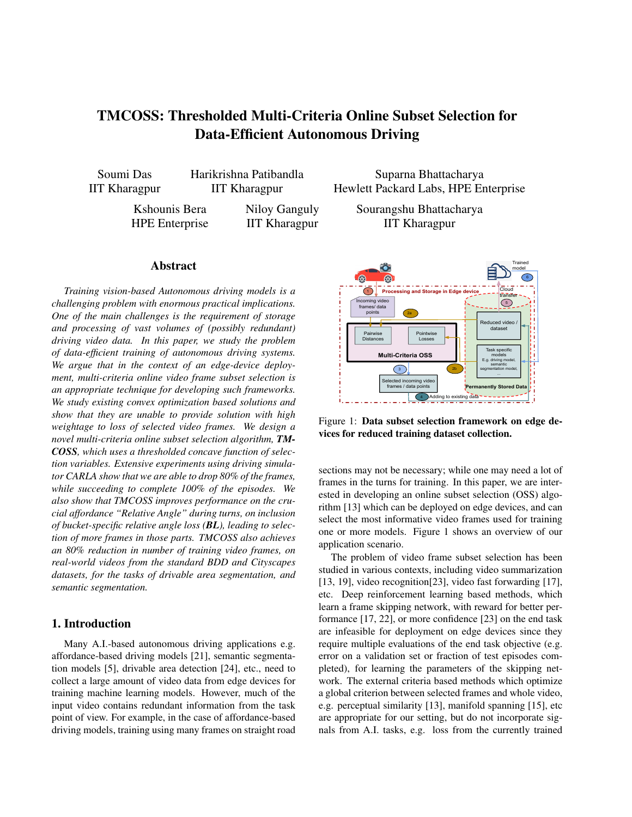# TMCOSS: Thresholded Multi-Criteria Online Subset Selection for Data-Efficient Autonomous Driving

Soumi Das IIT Kharagpur Harikrishna Patibandla IIT Kharagpur

Kshounis Bera HPE Enterprise Niloy Ganguly IIT Kharagpur

# Abstract

*Training vision-based Autonomous driving models is a challenging problem with enormous practical implications. One of the main challenges is the requirement of storage and processing of vast volumes of (possibly redundant) driving video data. In this paper, we study the problem of data-efficient training of autonomous driving systems. We argue that in the context of an edge-device deployment, multi-criteria online video frame subset selection is an appropriate technique for developing such frameworks. We study existing convex optimization based solutions and show that they are unable to provide solution with high weightage to loss of selected video frames. We design a novel multi-criteria online subset selection algorithm, TM-COSS, which uses a thresholded concave function of selection variables. Extensive experiments using driving simulator CARLA show that we are able to drop 80% of the frames, while succeeding to complete 100% of the episodes. We also show that TMCOSS improves performance on the crucial affordance "Relative Angle" during turns, on inclusion of bucket-specific relative angle loss (BL), leading to selection of more frames in those parts. TMCOSS also achieves an 80% reduction in number of training video frames, on real-world videos from the standard BDD and Cityscapes datasets, for the tasks of drivable area segmentation, and semantic segmentation.*

# 1. Introduction

Many A.I.-based autonomous driving applications e.g. affordance-based driving models [21], semantic segmentation models [5], drivable area detection [24], etc., need to collect a large amount of video data from edge devices for training machine learning models. However, much of the input video contains redundant information from the task point of view. For example, in the case of affordance-based driving models, training using many frames on straight road

Suparna Bhattacharya Hewlett Packard Labs, HPE Enterprise

> Sourangshu Bhattacharya IIT Kharagpur



Figure 1: Data subset selection framework on edge devices for reduced training dataset collection.

sections may not be necessary; while one may need a lot of frames in the turns for training. In this paper, we are interested in developing an online subset selection (OSS) algorithm [13] which can be deployed on edge devices, and can select the most informative video frames used for training one or more models. Figure 1 shows an overview of our application scenario.

The problem of video frame subset selection has been studied in various contexts, including video summarization [13, 19], video recognition[23], video fast forwarding [17], etc. Deep reinforcement learning based methods, which learn a frame skipping network, with reward for better performance [17, 22], or more confidence [23] on the end task are infeasible for deployment on edge devices since they require multiple evaluations of the end task objective (e.g. error on a validation set or fraction of test episodes completed), for learning the parameters of the skipping network. The external criteria based methods which optimize a global criterion between selected frames and whole video, e.g. perceptual similarity [13], manifold spanning [15], etc are appropriate for our setting, but do not incorporate signals from A.I. tasks, e.g. loss from the currently trained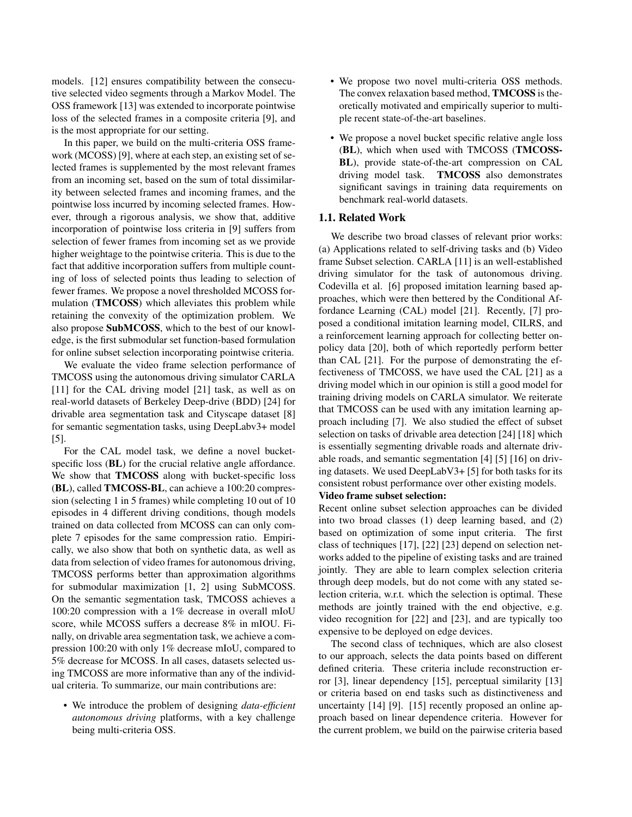models. [12] ensures compatibility between the consecutive selected video segments through a Markov Model. The OSS framework [13] was extended to incorporate pointwise loss of the selected frames in a composite criteria [9], and is the most appropriate for our setting.

In this paper, we build on the multi-criteria OSS framework (MCOSS) [9], where at each step, an existing set of selected frames is supplemented by the most relevant frames from an incoming set, based on the sum of total dissimilarity between selected frames and incoming frames, and the pointwise loss incurred by incoming selected frames. However, through a rigorous analysis, we show that, additive incorporation of pointwise loss criteria in [9] suffers from selection of fewer frames from incoming set as we provide higher weightage to the pointwise criteria. This is due to the fact that additive incorporation suffers from multiple counting of loss of selected points thus leading to selection of fewer frames. We propose a novel thresholded MCOSS formulation (TMCOSS) which alleviates this problem while retaining the convexity of the optimization problem. We also propose SubMCOSS, which to the best of our knowledge, is the first submodular set function-based formulation for online subset selection incorporating pointwise criteria.

We evaluate the video frame selection performance of TMCOSS using the autonomous driving simulator CARLA [11] for the CAL driving model [21] task, as well as on real-world datasets of Berkeley Deep-drive (BDD) [24] for drivable area segmentation task and Cityscape dataset [8] for semantic segmentation tasks, using DeepLabv3+ model [5].

For the CAL model task, we define a novel bucketspecific loss (**BL**) for the crucial relative angle affordance. We show that TMCOSS along with bucket-specific loss (BL), called TMCOSS-BL, can achieve a 100:20 compression (selecting 1 in 5 frames) while completing 10 out of 10 episodes in 4 different driving conditions, though models trained on data collected from MCOSS can can only complete 7 episodes for the same compression ratio. Empirically, we also show that both on synthetic data, as well as data from selection of video frames for autonomous driving, TMCOSS performs better than approximation algorithms for submodular maximization [1, 2] using SubMCOSS. On the semantic segmentation task, TMCOSS achieves a 100:20 compression with a 1% decrease in overall mIoU score, while MCOSS suffers a decrease 8% in mIOU. Finally, on drivable area segmentation task, we achieve a compression 100:20 with only 1% decrease mIoU, compared to 5% decrease for MCOSS. In all cases, datasets selected using TMCOSS are more informative than any of the individual criteria. To summarize, our main contributions are:

• We introduce the problem of designing *data-efficient autonomous driving* platforms, with a key challenge being multi-criteria OSS.

- We propose two novel multi-criteria OSS methods. The convex relaxation based method, TMCOSS is theoretically motivated and empirically superior to multiple recent state-of-the-art baselines.
- We propose a novel bucket specific relative angle loss (BL), which when used with TMCOSS (TMCOSS-BL), provide state-of-the-art compression on CAL driving model task. TMCOSS also demonstrates significant savings in training data requirements on benchmark real-world datasets.

#### 1.1. Related Work

We describe two broad classes of relevant prior works: (a) Applications related to self-driving tasks and (b) Video frame Subset selection. CARLA [11] is an well-established driving simulator for the task of autonomous driving. Codevilla et al. [6] proposed imitation learning based approaches, which were then bettered by the Conditional Affordance Learning (CAL) model [21]. Recently, [7] proposed a conditional imitation learning model, CILRS, and a reinforcement learning approach for collecting better onpolicy data [20], both of which reportedly perform better than CAL [21]. For the purpose of demonstrating the effectiveness of TMCOSS, we have used the CAL [21] as a driving model which in our opinion is still a good model for training driving models on CARLA simulator. We reiterate that TMCOSS can be used with any imitation learning approach including [7]. We also studied the effect of subset selection on tasks of drivable area detection [24] [18] which is essentially segmenting drivable roads and alternate drivable roads, and semantic segmentation [4] [5] [16] on driving datasets. We used DeepLabV3+ [5] for both tasks for its consistent robust performance over other existing models.

#### Video frame subset selection:

Recent online subset selection approaches can be divided into two broad classes (1) deep learning based, and (2) based on optimization of some input criteria. The first class of techniques [17], [22] [23] depend on selection networks added to the pipeline of existing tasks and are trained jointly. They are able to learn complex selection criteria through deep models, but do not come with any stated selection criteria, w.r.t. which the selection is optimal. These methods are jointly trained with the end objective, e.g. video recognition for [22] and [23], and are typically too expensive to be deployed on edge devices.

The second class of techniques, which are also closest to our approach, selects the data points based on different defined criteria. These criteria include reconstruction error [3], linear dependency [15], perceptual similarity [13] or criteria based on end tasks such as distinctiveness and uncertainty [14] [9]. [15] recently proposed an online approach based on linear dependence criteria. However for the current problem, we build on the pairwise criteria based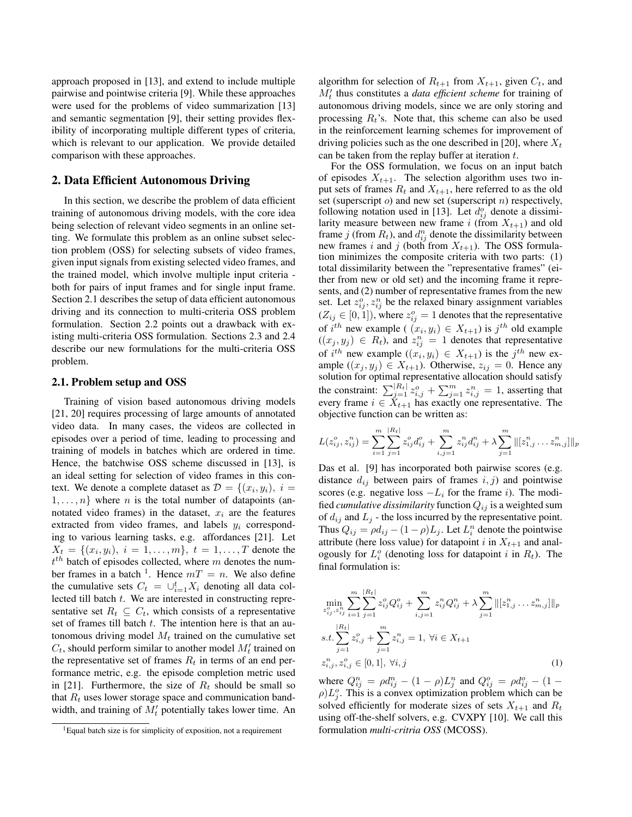approach proposed in [13], and extend to include multiple pairwise and pointwise criteria [9]. While these approaches were used for the problems of video summarization [13] and semantic segmentation [9], their setting provides flexibility of incorporating multiple different types of criteria, which is relevant to our application. We provide detailed comparison with these approaches.

## 2. Data Efficient Autonomous Driving

In this section, we describe the problem of data efficient training of autonomous driving models, with the core idea being selection of relevant video segments in an online setting. We formulate this problem as an online subset selection problem (OSS) for selecting subsets of video frames, given input signals from existing selected video frames, and the trained model, which involve multiple input criteria both for pairs of input frames and for single input frame. Section 2.1 describes the setup of data efficient autonomous driving and its connection to multi-criteria OSS problem formulation. Section 2.2 points out a drawback with existing multi-criteria OSS formulation. Sections 2.3 and 2.4 describe our new formulations for the multi-criteria OSS problem.

#### 2.1. Problem setup and OSS

Training of vision based autonomous driving models [21, 20] requires processing of large amounts of annotated video data. In many cases, the videos are collected in episodes over a period of time, leading to processing and training of models in batches which are ordered in time. Hence, the batchwise OSS scheme discussed in [13], is an ideal setting for selection of video frames in this context. We denote a complete dataset as  $\mathcal{D} = \{(x_i, y_i), i =$  $1, \ldots, n$  where n is the total number of datapoints (annotated video frames) in the dataset,  $x_i$  are the features extracted from video frames, and labels  $y_i$  corresponding to various learning tasks, e.g. affordances [21]. Let  $X_t = \{(x_i, y_i), i = 1, \dots, m\}, t = 1, \dots, T$  denote the  $t^{th}$  batch of episodes collected, where m denotes the number frames in a batch <sup>1</sup>. Hence  $mT = n$ . We also define the cumulative sets  $C_t = \bigcup_{i=1}^t X_i$  denoting all data collected till batch t. We are interested in constructing representative set  $R_t \subseteq C_t$ , which consists of a representative set of frames till batch t. The intention here is that an autonomous driving model  $M_t$  trained on the cumulative set  $C_t$ , should perform similar to another model  $M'_t$  trained on the representative set of frames  $R_t$  in terms of an end performance metric, e.g. the episode completion metric used in [21]. Furthermore, the size of  $R_t$  should be small so that  $R_t$  uses lower storage space and communication bandwidth, and training of  $M'_t$  potentially takes lower time. An

algorithm for selection of  $R_{t+1}$  from  $X_{t+1}$ , given  $C_t$ , and  $M'_t$  thus constitutes a *data efficient scheme* for training of autonomous driving models, since we are only storing and processing  $R_t$ 's. Note that, this scheme can also be used in the reinforcement learning schemes for improvement of driving policies such as the one described in [20], where  $X_t$ can be taken from the replay buffer at iteration  $t$ .

For the OSS formulation, we focus on an input batch of episodes  $X_{t+1}$ . The selection algorithm uses two input sets of frames  $R_t$  and  $X_{t+1}$ , here referred to as the old set (superscript  $o$ ) and new set (superscript  $n$ ) respectively, following notation used in [13]. Let  $d_{ij}^o$  denote a dissimilarity measure between new frame i (from  $X_{t+1}$ ) and old frame  $j$  (from  $R_t$ ), and  $d_{ij}^n$  denote the dissimilarity between new frames i and j (both from  $X_{t+1}$ ). The OSS formulation minimizes the composite criteria with two parts: (1) total dissimilarity between the "representative frames" (either from new or old set) and the incoming frame it represents, and (2) number of representative frames from the new set. Let  $z_{ij}^o, z_{ij}^n$  be the relaxed binary assignment variables  $(Z_{ij} \in [0, 1])$ , where  $z_{ij}^o = 1$  denotes that the representative of  $i^{th}$  new example (  $(x_i, y_i) \in X_{t+1}$ ) is  $j^{th}$  old example  $((x_j, y_j) \in R_t)$ , and  $z_{ij}^n = 1$  denotes that representative of  $i^{th}$  new example  $((x_i, y_i) \in X_{t+1})$  is the  $j^{th}$  new example  $((x_j, y_j) \in X_{t+1})$ . Otherwise,  $z_{ij} = 0$ . Hence any solution for optimal representative allocation should satisfy the constraint:  $\sum_{j=1}^{|R_t|} z_{i,j}^o + \sum_{j=1}^m z_{i,j}^n = 1$ , asserting that every frame  $i \in \dot{X}_{t+1}$  has exactly one representative. The objective function can be written as:

$$
L(z_{ij}^o, z_{ij}^n) = \sum_{i=1}^m \sum_{j=1}^{|R_t|} z_{ij}^o d_{ij}^o + \sum_{i,j=1}^m z_{ij}^n d_{ij}^n + \lambda \sum_{j=1}^m \|[z_{1,j}^n \dots z_{m,j}^n]\|_p
$$

Das et al. [9] has incorporated both pairwise scores (e.g. distance  $d_{ij}$  between pairs of frames  $i, j$ ) and pointwise scores (e.g. negative loss  $-L_i$  for the frame i). The modified *cumulative dissimilarity* function  $Q_{ij}$  is a weighted sum of  $d_{ij}$  and  $L_j$  - the loss incurred by the representative point. Thus  $Q_{ij} = \rho d_{ij} - (1 - \rho)L_j$ . Let  $L_i^n$  denote the pointwise attribute (here loss value) for datapoint i in  $X_{t+1}$  and analogously for  $L_i^o$  (denoting loss for datapoint i in  $R_t$ ). The final formulation is:

$$
\min_{z_{ij}^n, z_{ij}^n} \sum_{i=1}^m \sum_{j=1}^{|R_t|} z_{ij}^o Q_{ij}^o + \sum_{i,j=1}^m z_{ij}^n Q_{ij}^n + \lambda \sum_{j=1}^m \|[z_{1,j}^n \dots z_{m,j}^n]\|_p
$$
  
s.t. 
$$
\sum_{j=1}^{|R_t|} z_{i,j}^o + \sum_{j=1}^m z_{i,j}^n = 1, \forall i \in X_{t+1}
$$
  

$$
z_{i,j}^n, z_{i,j}^o \in [0, 1], \forall i, j
$$
 (1)

where  $Q_{ij}^n = \rho d_{ij}^n - (1 - \rho)L_j^n$  and  $Q_{ij}^o = \rho d_{ij}^o - (1 - \rho)L_j^n$  $\rho$ ) $L_j^o$ . This is a convex optimization problem which can be solved efficiently for moderate sizes of sets  $X_{t+1}$  and  $R_t$ using off-the-shelf solvers, e.g. CVXPY [10]. We call this formulation *multi-critria OSS* (MCOSS).

<sup>&</sup>lt;sup>1</sup> Equal batch size is for simplicity of exposition, not a requirement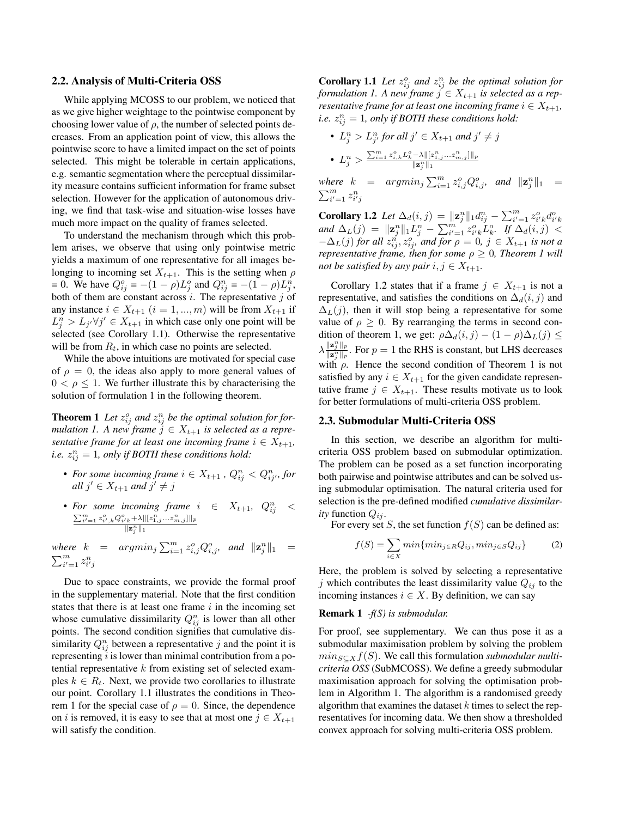#### 2.2. Analysis of Multi-Criteria OSS

While applying MCOSS to our problem, we noticed that as we give higher weightage to the pointwise component by choosing lower value of  $\rho$ , the number of selected points decreases. From an application point of view, this allows the pointwise score to have a limited impact on the set of points selected. This might be tolerable in certain applications, e.g. semantic segmentation where the perceptual dissimilarity measure contains sufficient information for frame subset selection. However for the application of autonomous driving, we find that task-wise and situation-wise losses have much more impact on the quality of frames selected.

To understand the mechanism through which this problem arises, we observe that using only pointwise metric yields a maximum of one representative for all images belonging to incoming set  $X_{t+1}$ . This is the setting when  $\rho$ = 0. We have  $Q_{ij}^o = -(1 - \rho)L_j^o$  and  $Q_{ij}^n = -(1 - \rho)L_j^n$ , both of them are constant across  $i$ . The representative  $j$  of any instance  $i \in X_{t+1}$   $(i = 1, ..., m)$  will be from  $X_{t+1}$  if  $L_j^n > L_{j'} \forall j' \in X_{t+1}$  in which case only one point will be selected (see Corollary 1.1). Otherwise the representative will be from  $R_t$ , in which case no points are selected.

While the above intuitions are motivated for special case of  $\rho = 0$ , the ideas also apply to more general values of  $0 < \rho < 1$ . We further illustrate this by characterising the solution of formulation 1 in the following theorem.

**Theorem 1** Let  $z_{ij}^o$  and  $z_{ij}^n$  be the optimal solution for for*mulation 1. A new frame*  $j \in X_{t+1}$  *is selected as a representative frame for at least one incoming frame*  $i \in X_{t+1}$ *, i.e.*  $z_{ij}^n = 1$ , only if BOTH these conditions hold:

- For some incoming frame  $i \in X_{t+1}$  ,  $Q_{ij}^n < Q_{ij'}^n$ , for *all*  $j' \in X_{t+1}$  *and*  $j' \neq j$
- *For some incoming frame*  $i \in X_{t+1}$ ,  $Q_{ij}^n < \sum_{i'=1}^m z_{i',k}^o Q_{i,k}^o + \lambda ||[z_{1,j}^n \ldots z_{m,j}^n]||_p$  $\|\mathbf{z}_{j}^{n}\|_{1}$

where  $k = argmin_j \sum_{i=1}^m z_{i,j}^o Q_{i,j}^o$ , and  $||\mathbf{z}_j^n||_1 =$  $\sum_{i'=1}^m z_{i'j}^n$ 

Due to space constraints, we provide the formal proof in the supplementary material. Note that the first condition states that there is at least one frame  $i$  in the incoming set whose cumulative dissimilarity  $Q_{ij}^n$  is lower than all other points. The second condition signifies that cumulative dissimilarity  $Q_{ij}^n$  between a representative j and the point it is representing  $i$  is lower than minimal contribution from a potential representative  $k$  from existing set of selected examples  $k \in R_t$ . Next, we provide two corollaries to illustrate our point. Corollary 1.1 illustrates the conditions in Theorem 1 for the special case of  $\rho = 0$ . Since, the dependence on i is removed, it is easy to see that at most one  $j \in X_{t+1}$ will satisfy the condition.

**Corollary 1.1** Let  $z_{ij}^o$  and  $z_{ij}^n$  be the optimal solution for *formulation 1. A new frame*  $j \in X_{t+1}$  *is selected as a representative frame for at least one incoming frame*  $i \in X_{t+1}$ , *i.e.*  $z_{ij}^n = 1$ , only if BOTH these conditions hold:

\n- $$
L_j^n > L_{j'}^n
$$
 for all  $j' \in X_{t+1}$  and  $j' \neq j$
\n- $L_j^n > \frac{\sum_{i=1}^m z_{i,k}^o L_k^o - \lambda ||z_{1,j}^n \ldots z_{m,j}^n||_p}{\|z_j^n\|_1}$
\n

where  $k = argmin_j \sum_{i=1}^m z_{i,j}^o Q_{i,j}^o$ , and  $||\mathbf{z}_j^n||_1 =$  $\sum_{i'=1}^m z_{i'j}^n$ 

**Corollary 1.2** *Let*  $\Delta_d(i, j) = ||\mathbf{z}_j^n||_1 d_{ij}^n - \sum_{i'=1}^m z_{i'k}^o d_{i'k}^o$ *and*  $\Delta_L(j) = ||\mathbf{z}_j^n||_1 L_j^n - \sum_{i'=1}^m z_{i'k}^o L_k^o$ . If  $\Delta_d(i,j) <$  $-\Delta_L(j)$  *for all*  $z_{ij}^n$ ,  $z_{ij}^o$ , and for  $\rho = 0$ ,  $j \in X_{t+1}$  *is not a representative frame, then for some*  $\rho \geq 0$ *, Theorem 1 will not be satisfied by any pair*  $i, j \in X_{t+1}$ .

Corollary 1.2 states that if a frame  $j \in X_{t+1}$  is not a representative, and satisfies the conditions on  $\Delta_d(i, j)$  and  $\Delta_L(i)$ , then it will stop being a representative for some value of  $\rho \geq 0$ . By rearranging the terms in second condition of theorem 1, we get:  $\rho \Delta_d(i,j) - (1 - \rho) \Delta_L(j) \leq$  $\lambda \frac{\|\mathbf{z}_j^n\|_p}{\|\mathbf{z}_j^n\|_p}$ . For  $p = 1$  the RHS is constant, but LHS decreases with  $\rho$ . Hence the second condition of Theorem 1 is not satisfied by any  $i \in X_{t+1}$  for the given candidate representative frame  $j \in X_{t+1}$ . These results motivate us to look for better formulations of multi-criteria OSS problem.

#### 2.3. Submodular Multi-Criteria OSS

In this section, we describe an algorithm for multicriteria OSS problem based on submodular optimization. The problem can be posed as a set function incorporating both pairwise and pointwise attributes and can be solved using submodular optimisation. The natural criteria used for selection is the pre-defined modified *cumulative dissimilarity* function  $Q_{ij}$ .

For every set S, the set function  $f(S)$  can be defined as:

$$
f(S) = \sum_{i \in X} \min\{\min_{j \in R} Q_{ij}, \min_{j \in S} Q_{ij}\} \tag{2}
$$

Here, the problem is solved by selecting a representative j which contributes the least dissimilarity value  $Q_{ij}$  to the incoming instances  $i \in X$ . By definition, we can say

#### Remark 1 *-f(S) is submodular.*

For proof, see supplementary. We can thus pose it as a submodular maximisation problem by solving the problem  $min_{S \subset X} f(S)$ . We call this formulation *submodular multicriteria OSS* (SubMCOSS). We define a greedy submodular maximisation approach for solving the optimisation problem in Algorithm 1. The algorithm is a randomised greedy algorithm that examines the dataset  $k$  times to select the representatives for incoming data. We then show a thresholded convex approach for solving multi-criteria OSS problem.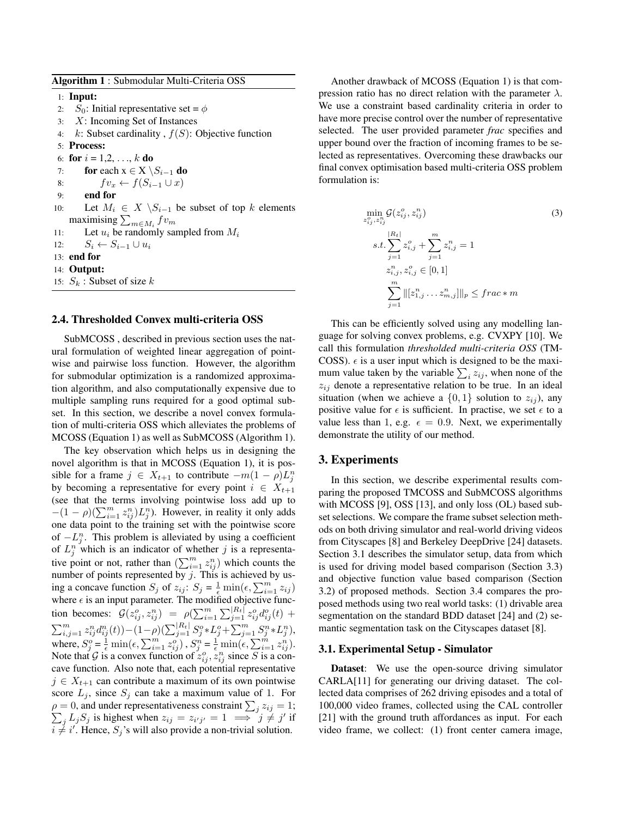Algorithm 1 : Submodular Multi-Criteria OSS

1: Input:

- 2:  $S_0$ : Initial representative set =  $\phi$
- 3: X: Incoming Set of Instances
- 4:  $k$ : Subset cardinality,  $f(S)$ : Objective function
- 5: Process:
- 6: for  $i = 1, 2, ..., k$  do
- 7: **for** each  $x \in X \setminus S_{i-1}$  do
- 8:  $f v_x \leftarrow f(S_{i-1} \cup x)$
- 9: end for
- 10: Let  $M_i$  ∈  $X \setminus S_{i-1}$  be subset of top k elements maximising  $\sum_{m \in M_i} f v_m$
- 11: Let  $u_i$  be randomly sampled from  $M_i$

12:  $S_i \leftarrow S_{i-1} \cup u_i$ 

- 13: end for
- 14: Output:

15:  $S_k$ : Subset of size k

## 2.4. Thresholded Convex multi-criteria OSS

SubMCOSS , described in previous section uses the natural formulation of weighted linear aggregation of pointwise and pairwise loss function. However, the algorithm for submodular optimization is a randomized approximation algorithm, and also computationally expensive due to multiple sampling runs required for a good optimal subset. In this section, we describe a novel convex formulation of multi-criteria OSS which alleviates the problems of MCOSS (Equation 1) as well as SubMCOSS (Algorithm 1).

The key observation which helps us in designing the novel algorithm is that in MCOSS (Equation 1), it is possible for a frame  $j \in X_{t+1}$  to contribute  $-m(1 - \rho)L_j^n$ by becoming a representative for every point  $i \in X_{t+1}$ (see that the terms involving pointwise loss add up to  $-(1 - \rho)(\sum_{i=1}^m z_{ij}^n)L_j^n$ ). However, in reality it only adds one data point to the training set with the pointwise score of  $-L_j^n$ . This problem is alleviated by using a coefficient of  $L_j^n$  which is an indicator of whether j is a representative point or not, rather than  $(\sum_{i=1}^m z_{ij}^n)$  which counts the number of points represented by  $j$ . This is achieved by using a concave function  $S_j$  of  $z_{ij}$ :  $S_j = \frac{1}{\epsilon} \min(\epsilon, \sum_{i=1}^m z_{ij})$ where  $\epsilon$  is an input parameter. The modified objective function becomes:  $G(z_{ij}^o, z_{ij}^n) = \rho(\sum_{i=1}^m \sum_{j=1}^{|R_t|} z_{ij}^o d_{ij}^o(t) +$  $\sum_{i,j=1}^m z_{ij}^n d_{ij}^n(t)$ ) –  $(1-\rho)(\sum_{j=1}^{|R_t|} S_j^o * L_j^o + \sum_{j=1}^m S_j^n * L_j^n)$ , where,  $S_j^o = \frac{1}{\epsilon} \min(\epsilon, \sum_{i=1}^m z_{ij}^o)$ ,  $S_j^n = \frac{1}{\epsilon} \min(\epsilon, \sum_{i=1}^m z_{ij}^n)$ . Note that G is a convex function of  $z_{ij}^o$ ,  $z_{ij}^n$  since S is a concave function. Also note that, each potential representative  $j \in X_{t+1}$  can contribute a maximum of its own pointwise score  $L_i$ , since  $S_i$  can take a maximum value of 1. For  $\rho = 0$ , and under representativeness constraint  $\sum_j z_{ij} = 1$ ;  $\sum_j L_j S_j$  is highest when  $z_{ij} = z_{i'j'} = 1 \implies j \neq j'$  if  $i \neq i'$ . Hence,  $S_j$ 's will also provide a non-trivial solution.

Another drawback of MCOSS (Equation 1) is that compression ratio has no direct relation with the parameter  $\lambda$ . We use a constraint based cardinality criteria in order to have more precise control over the number of representative selected. The user provided parameter *frac* specifies and upper bound over the fraction of incoming frames to be selected as representatives. Overcoming these drawbacks our final convex optimisation based multi-criteria OSS problem formulation is:

$$
\min_{z_{ij}^o, z_{ij}^n} \mathcal{G}(z_{ij}^o, z_{ij}^n)
$$
\n
$$
s.t. \sum_{j=1}^{|R_t|} z_{i,j}^o + \sum_{j=1}^m z_{i,j}^n = 1
$$
\n
$$
z_{i,j}^n, z_{i,j}^o \in [0, 1]
$$
\n
$$
\sum_{i=1}^m ||[z_{1,j}^n \dots z_{m,j}^n]||_p \leq frac*m
$$
\n(3)

This can be efficiently solved using any modelling language for solving convex problems, e.g. CVXPY [10]. We call this formulation *thresholded multi-criteria OSS* (TM-COSS).  $\epsilon$  is a user input which is designed to be the maximum value taken by the variable  $\sum_i z_{ij}$ , when none of the  $z_{ij}$  denote a representative relation to be true. In an ideal situation (when we achieve a  $\{0,1\}$  solution to  $z_{ij}$ ), any positive value for  $\epsilon$  is sufficient. In practise, we set  $\epsilon$  to a value less than 1, e.g.  $\epsilon = 0.9$ . Next, we experimentally demonstrate the utility of our method.

#### 3. Experiments

In this section, we describe experimental results comparing the proposed TMCOSS and SubMCOSS algorithms with MCOSS [9], OSS [13], and only loss (OL) based subset selections. We compare the frame subset selection methods on both driving simulator and real-world driving videos from Cityscapes [8] and Berkeley DeepDrive [24] datasets. Section 3.1 describes the simulator setup, data from which is used for driving model based comparison (Section 3.3) and objective function value based comparison (Section 3.2) of proposed methods. Section 3.4 compares the proposed methods using two real world tasks: (1) drivable area segmentation on the standard BDD dataset [24] and (2) semantic segmentation task on the Cityscapes dataset [8].

#### 3.1. Experimental Setup - Simulator

Dataset: We use the open-source driving simulator CARLA[11] for generating our driving dataset. The collected data comprises of 262 driving episodes and a total of 100,000 video frames, collected using the CAL controller [21] with the ground truth affordances as input. For each video frame, we collect: (1) front center camera image,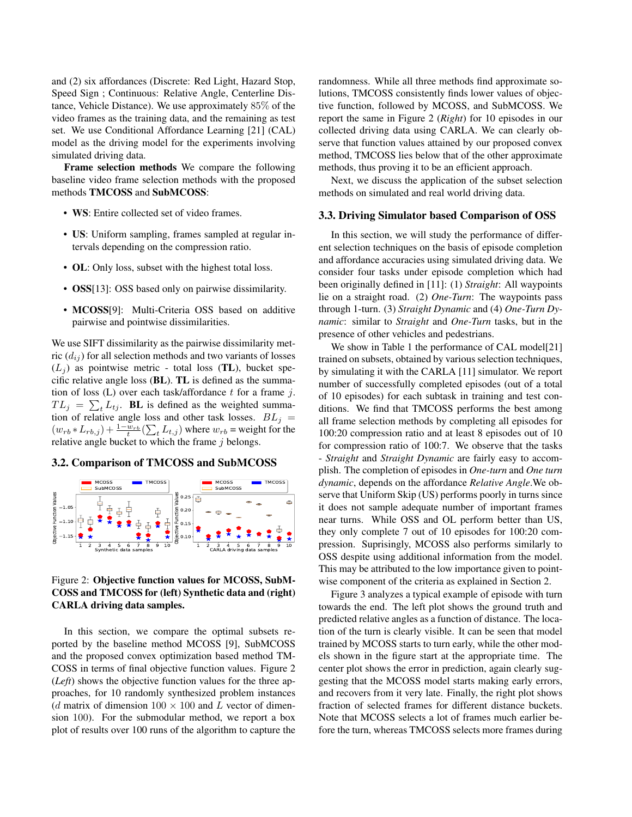and (2) six affordances (Discrete: Red Light, Hazard Stop, Speed Sign ; Continuous: Relative Angle, Centerline Distance, Vehicle Distance). We use approximately 85% of the video frames as the training data, and the remaining as test set. We use Conditional Affordance Learning [21] (CAL) model as the driving model for the experiments involving simulated driving data.

Frame selection methods We compare the following baseline video frame selection methods with the proposed methods TMCOSS and SubMCOSS:

- WS: Entire collected set of video frames.
- US: Uniform sampling, frames sampled at regular intervals depending on the compression ratio.
- OL: Only loss, subset with the highest total loss.
- OSS[13]: OSS based only on pairwise dissimilarity.
- MCOSS[9]: Multi-Criteria OSS based on additive pairwise and pointwise dissimilarities.

We use SIFT dissimilarity as the pairwise dissimilarity metric  $(d_{ij})$  for all selection methods and two variants of losses  $(L_j)$  as pointwise metric - total loss (TL), bucket specific relative angle loss (BL). TL is defined as the summation of loss  $(L)$  over each task/affordance t for a frame j.  $TL_j = \sum_t L_{tj}$ . BL is defined as the weighted summation of relative angle loss and other task losses.  $BL<sub>j</sub>$  =  $(w_{rb} * L_{rb,j}) + \frac{1 - w_{rb}}{t} (\sum_t L_{t,j})$  where  $w_{rb}$  = weight for the relative angle bucket to which the frame  $j$  belongs.

#### 3.2. Comparison of TMCOSS and SubMCOSS



## Figure 2: Objective function values for MCOSS, SubM-COSS and TMCOSS for (left) Synthetic data and (right) CARLA driving data samples.

In this section, we compare the optimal subsets reported by the baseline method MCOSS [9], SubMCOSS and the proposed convex optimization based method TM-COSS in terms of final objective function values. Figure 2 (*Left*) shows the objective function values for the three approaches, for 10 randomly synthesized problem instances (d matrix of dimension  $100 \times 100$  and L vector of dimension 100). For the submodular method, we report a box plot of results over 100 runs of the algorithm to capture the randomness. While all three methods find approximate solutions, TMCOSS consistently finds lower values of objective function, followed by MCOSS, and SubMCOSS. We report the same in Figure 2 (*Right*) for 10 episodes in our collected driving data using CARLA. We can clearly observe that function values attained by our proposed convex method, TMCOSS lies below that of the other approximate methods, thus proving it to be an efficient approach.

Next, we discuss the application of the subset selection methods on simulated and real world driving data.

## 3.3. Driving Simulator based Comparison of OSS

In this section, we will study the performance of different selection techniques on the basis of episode completion and affordance accuracies using simulated driving data. We consider four tasks under episode completion which had been originally defined in [11]: (1) *Straight*: All waypoints lie on a straight road. (2) *One-Turn*: The waypoints pass through 1-turn. (3) *Straight Dynamic* and (4) *One-Turn Dynamic*: similar to *Straight* and *One-Turn* tasks, but in the presence of other vehicles and pedestrians.

We show in Table 1 the performance of CAL model[21] trained on subsets, obtained by various selection techniques, by simulating it with the CARLA [11] simulator. We report number of successfully completed episodes (out of a total of 10 episodes) for each subtask in training and test conditions. We find that TMCOSS performs the best among all frame selection methods by completing all episodes for 100:20 compression ratio and at least 8 episodes out of 10 for compression ratio of 100:7. We observe that the tasks - *Straight* and *Straight Dynamic* are fairly easy to accomplish. The completion of episodes in *One-turn* and *One turn dynamic*, depends on the affordance *Relative Angle*.We observe that Uniform Skip (US) performs poorly in turns since it does not sample adequate number of important frames near turns. While OSS and OL perform better than US, they only complete 7 out of 10 episodes for 100:20 compression. Suprisingly, MCOSS also performs similarly to OSS despite using additional information from the model. This may be attributed to the low importance given to pointwise component of the criteria as explained in Section 2.

Figure 3 analyzes a typical example of episode with turn towards the end. The left plot shows the ground truth and predicted relative angles as a function of distance. The location of the turn is clearly visible. It can be seen that model trained by MCOSS starts to turn early, while the other models shown in the figure start at the appropriate time. The center plot shows the error in prediction, again clearly suggesting that the MCOSS model starts making early errors, and recovers from it very late. Finally, the right plot shows fraction of selected frames for different distance buckets. Note that MCOSS selects a lot of frames much earlier before the turn, whereas TMCOSS selects more frames during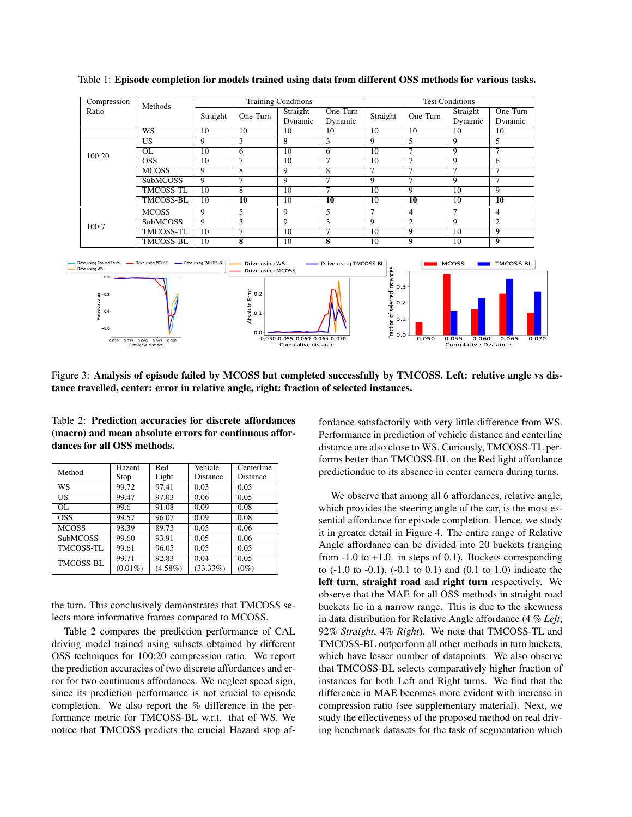

Table 1: Episode completion for models trained using data from different OSS methods for various tasks.

Figure 3: Analysis of episode failed by MCOSS but completed successfully by TMCOSS. Left: relative angle vs distance travelled, center: error in relative angle, right: fraction of selected instances.

| Table 2: Prediction accuracies for discrete affordances |  |  |  |
|---------------------------------------------------------|--|--|--|
| (macro) and mean absolute errors for continuous affor-  |  |  |  |
| dances for all OSS methods.                             |  |  |  |

| Method           | Hazard     | Red        | Vehicle     | Centerline      |  |
|------------------|------------|------------|-------------|-----------------|--|
|                  | Stop       | Light      | Distance    | <b>Distance</b> |  |
| WS               | 99.72      | 97.41      | 0.03        | 0.05            |  |
| US               | 99.47      | 97.03      | 0.06        | 0.05            |  |
| OL.              | 99.6       | 91.08      | 0.09        | 0.08            |  |
| <b>OSS</b>       | 99.57      | 96.07      | 0.09        | 0.08            |  |
| <b>MCOSS</b>     | 98.39      | 89.73      | 0.05        | 0.06            |  |
| <b>SubMCOSS</b>  | 99.60      | 93.91      | 0.05        | 0.06            |  |
| <b>TMCOSS-TL</b> | 99.61      | 96.05      | 0.05        | 0.05            |  |
| <b>TMCOSS-BL</b> | 99.71      | 92.83      | 0.04        | 0.05            |  |
|                  | $(0.01\%)$ | $(4.58\%)$ | $(33.33\%)$ | $(0\%)$         |  |

the turn. This conclusively demonstrates that TMCOSS selects more informative frames compared to MCOSS.

Table 2 compares the prediction performance of CAL driving model trained using subsets obtained by different OSS techniques for 100:20 compression ratio. We report the prediction accuracies of two discrete affordances and error for two continuous affordances. We neglect speed sign, since its prediction performance is not crucial to episode completion. We also report the % difference in the performance metric for TMCOSS-BL w.r.t. that of WS. We notice that TMCOSS predicts the crucial Hazard stop affordance satisfactorily with very little difference from WS. Performance in prediction of vehicle distance and centerline distance are also close to WS. Curiously, TMCOSS-TL performs better than TMCOSS-BL on the Red light affordance predictiondue to its absence in center camera during turns.

We observe that among all 6 affordances, relative angle, which provides the steering angle of the car, is the most essential affordance for episode completion. Hence, we study it in greater detail in Figure 4. The entire range of Relative Angle affordance can be divided into 20 buckets (ranging from  $-1.0$  to  $+1.0$ . in steps of 0.1). Buckets corresponding to  $(-1.0 \text{ to } -0.1)$ ,  $(-0.1 \text{ to } 0.1)$  and  $(0.1 \text{ to } 1.0)$  indicate the left turn, straight road and right turn respectively. We observe that the MAE for all OSS methods in straight road buckets lie in a narrow range. This is due to the skewness in data distribution for Relative Angle affordance (4 % *Left*, 92% *Straight*, 4% *Right*). We note that TMCOSS-TL and TMCOSS-BL outperform all other methods in turn buckets, which have lesser number of datapoints. We also observe that TMCOSS-BL selects comparatively higher fraction of instances for both Left and Right turns. We find that the difference in MAE becomes more evident with increase in compression ratio (see supplementary material). Next, we study the effectiveness of the proposed method on real driving benchmark datasets for the task of segmentation which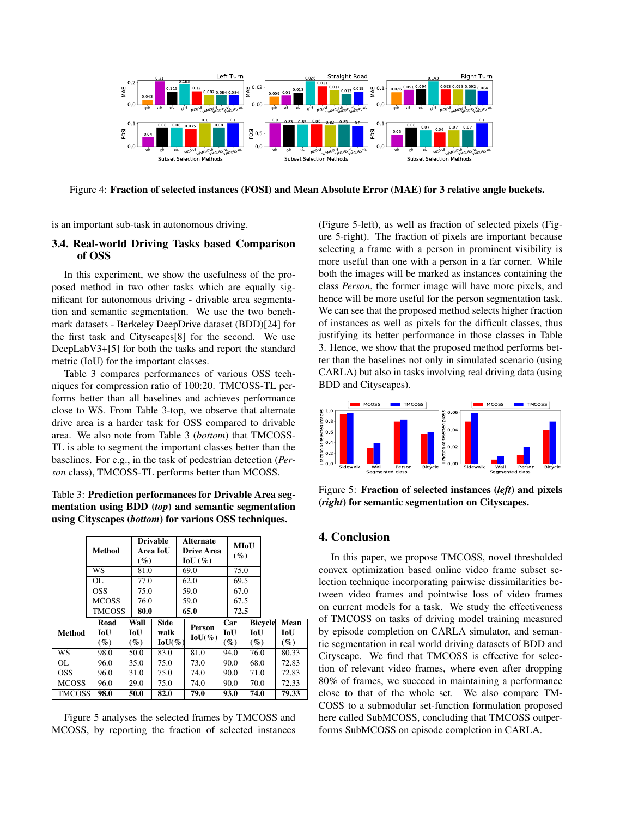

Figure 4: Fraction of selected instances (FOSI) and Mean Absolute Error (MAE) for 3 relative angle buckets.

is an important sub-task in autonomous driving.

## 3.4. Real-world Driving Tasks based Comparison of OSS

In this experiment, we show the usefulness of the proposed method in two other tasks which are equally significant for autonomous driving - drivable area segmentation and semantic segmentation. We use the two benchmark datasets - Berkeley DeepDrive dataset (BDD)[24] for the first task and Cityscapes[8] for the second. We use DeepLabV3+[5] for both the tasks and report the standard metric (IoU) for the important classes.

Table 3 compares performances of various OSS techniques for compression ratio of 100:20. TMCOSS-TL performs better than all baselines and achieves performance close to WS. From Table 3-top, we observe that alternate drive area is a harder task for OSS compared to drivable area. We also note from Table 3 (*bottom*) that TMCOSS-TL is able to segment the important classes better than the baselines. For e.g., in the task of pedestrian detection (*Person* class), TMCOSS-TL performs better than MCOSS.

## Table 3: Prediction performances for Drivable Area segmentation using BDD (*top*) and semantic segmentation using Cityscapes (*bottom*) for various OSS techniques.

|               | Method        | $(\%)$ | <b>Drivable</b><br>Area IoU | <b>Alternate</b><br>Drive Area<br>$IoU$ (%) |  | MIoU<br>$(\%)$ |        |                |        |
|---------------|---------------|--------|-----------------------------|---------------------------------------------|--|----------------|--------|----------------|--------|
|               | WS            | 81.0   |                             | 69.0                                        |  | 75.0           |        |                |        |
|               | OL            | 77.0   |                             | 62.0                                        |  | 69.5           |        |                |        |
|               | <b>OSS</b>    | 75.0   |                             | 59.0                                        |  | 67.0           |        |                |        |
|               | <b>MCOSS</b>  | 76.0   |                             | 59.0                                        |  | 67.5           |        |                |        |
|               | <b>TMCOSS</b> | 80.0   |                             | 65.0                                        |  | 72.5           |        |                |        |
| <b>Method</b> | Road          | Wall   | <b>Side</b>                 | Person                                      |  | Car            |        | <b>Bicycle</b> | Mean   |
|               | IoU           | IoU    | walk                        | $IoU(\%)$                                   |  | IoU            | IoU    |                | IoU    |
|               | $(\%)$        | $(\%)$ | $IoU(\%)$                   |                                             |  | $(\%)$         | $(\%)$ |                | $(\%)$ |
| WS            | 98.0          | 50.0   | 83.0                        | 81.0                                        |  | 94.0           | 76.0   |                | 80.33  |
| OL.           | 96.0          | 35.0   | 75.0                        | 73.0                                        |  | 90.0           | 68.0   |                | 72.83  |
| OSS.          | 96.0          | 31.0   | 75.0                        | 74.0                                        |  | 90.0           | 71.0   |                | 72.83  |
| <b>MCOSS</b>  | 96.0          | 29.0   | 75.0                        | 74.0                                        |  | 90.0           | 70.0   |                | 72.33  |
| <b>TMCOSS</b> | 98.0          | 50.0   | 82.0                        | 79.0                                        |  | 93.0           | 74.0   |                | 79.33  |

Figure 5 analyses the selected frames by TMCOSS and MCOSS, by reporting the fraction of selected instances

(Figure 5-left), as well as fraction of selected pixels (Figure 5-right). The fraction of pixels are important because selecting a frame with a person in prominent visibility is more useful than one with a person in a far corner. While both the images will be marked as instances containing the class *Person*, the former image will have more pixels, and hence will be more useful for the person segmentation task. We can see that the proposed method selects higher fraction of instances as well as pixels for the difficult classes, thus justifying its better performance in those classes in Table 3. Hence, we show that the proposed method performs better than the baselines not only in simulated scenario (using CARLA) but also in tasks involving real driving data (using BDD and Cityscapes).



Figure 5: Fraction of selected instances (*left*) and pixels (*right*) for semantic segmentation on Cityscapes.

## 4. Conclusion

In this paper, we propose TMCOSS, novel thresholded convex optimization based online video frame subset selection technique incorporating pairwise dissimilarities between video frames and pointwise loss of video frames on current models for a task. We study the effectiveness of TMCOSS on tasks of driving model training measured by episode completion on CARLA simulator, and semantic segmentation in real world driving datasets of BDD and Cityscape. We find that TMCOSS is effective for selection of relevant video frames, where even after dropping 80% of frames, we succeed in maintaining a performance close to that of the whole set. We also compare TM-COSS to a submodular set-function formulation proposed here called SubMCOSS, concluding that TMCOSS outperforms SubMCOSS on episode completion in CARLA.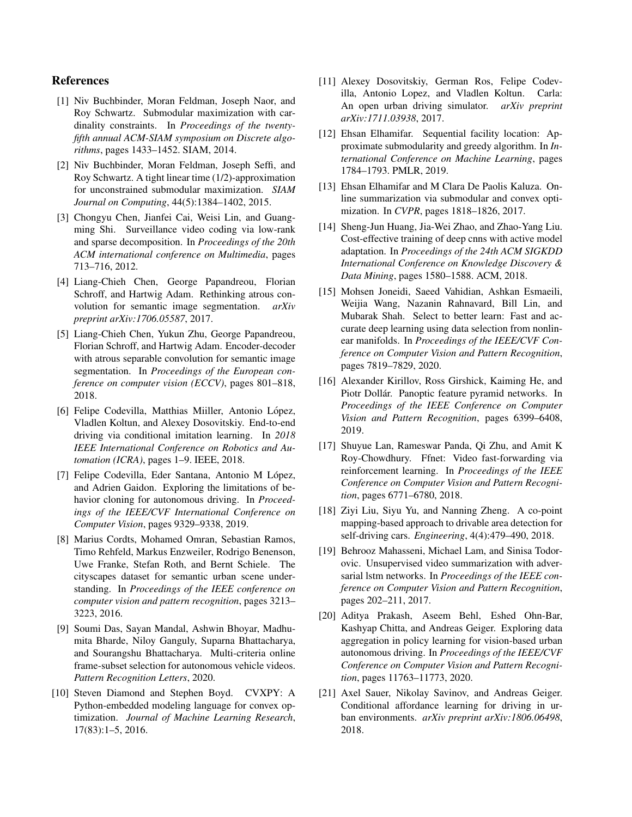## References

- [1] Niv Buchbinder, Moran Feldman, Joseph Naor, and Roy Schwartz. Submodular maximization with cardinality constraints. In *Proceedings of the twentyfifth annual ACM-SIAM symposium on Discrete algorithms*, pages 1433–1452. SIAM, 2014.
- [2] Niv Buchbinder, Moran Feldman, Joseph Seffi, and Roy Schwartz. A tight linear time (1/2)-approximation for unconstrained submodular maximization. *SIAM Journal on Computing*, 44(5):1384–1402, 2015.
- [3] Chongyu Chen, Jianfei Cai, Weisi Lin, and Guangming Shi. Surveillance video coding via low-rank and sparse decomposition. In *Proceedings of the 20th ACM international conference on Multimedia*, pages 713–716, 2012.
- [4] Liang-Chieh Chen, George Papandreou, Florian Schroff, and Hartwig Adam. Rethinking atrous convolution for semantic image segmentation. *arXiv preprint arXiv:1706.05587*, 2017.
- [5] Liang-Chieh Chen, Yukun Zhu, George Papandreou, Florian Schroff, and Hartwig Adam. Encoder-decoder with atrous separable convolution for semantic image segmentation. In *Proceedings of the European conference on computer vision (ECCV)*, pages 801–818, 2018.
- [6] Felipe Codevilla, Matthias Miiller, Antonio López, Vladlen Koltun, and Alexey Dosovitskiy. End-to-end driving via conditional imitation learning. In *2018 IEEE International Conference on Robotics and Automation (ICRA)*, pages 1–9. IEEE, 2018.
- [7] Felipe Codevilla, Eder Santana, Antonio M López, and Adrien Gaidon. Exploring the limitations of behavior cloning for autonomous driving. In *Proceedings of the IEEE/CVF International Conference on Computer Vision*, pages 9329–9338, 2019.
- [8] Marius Cordts, Mohamed Omran, Sebastian Ramos, Timo Rehfeld, Markus Enzweiler, Rodrigo Benenson, Uwe Franke, Stefan Roth, and Bernt Schiele. The cityscapes dataset for semantic urban scene understanding. In *Proceedings of the IEEE conference on computer vision and pattern recognition*, pages 3213– 3223, 2016.
- [9] Soumi Das, Sayan Mandal, Ashwin Bhoyar, Madhumita Bharde, Niloy Ganguly, Suparna Bhattacharya, and Sourangshu Bhattacharya. Multi-criteria online frame-subset selection for autonomous vehicle videos. *Pattern Recognition Letters*, 2020.
- [10] Steven Diamond and Stephen Boyd. CVXPY: A Python-embedded modeling language for convex optimization. *Journal of Machine Learning Research*, 17(83):1–5, 2016.
- [11] Alexey Dosovitskiy, German Ros, Felipe Codevilla, Antonio Lopez, and Vladlen Koltun. Carla: An open urban driving simulator. *arXiv preprint arXiv:1711.03938*, 2017.
- [12] Ehsan Elhamifar. Sequential facility location: Approximate submodularity and greedy algorithm. In *International Conference on Machine Learning*, pages 1784–1793. PMLR, 2019.
- [13] Ehsan Elhamifar and M Clara De Paolis Kaluza. Online summarization via submodular and convex optimization. In *CVPR*, pages 1818–1826, 2017.
- [14] Sheng-Jun Huang, Jia-Wei Zhao, and Zhao-Yang Liu. Cost-effective training of deep cnns with active model adaptation. In *Proceedings of the 24th ACM SIGKDD International Conference on Knowledge Discovery & Data Mining*, pages 1580–1588. ACM, 2018.
- [15] Mohsen Joneidi, Saeed Vahidian, Ashkan Esmaeili, Weijia Wang, Nazanin Rahnavard, Bill Lin, and Mubarak Shah. Select to better learn: Fast and accurate deep learning using data selection from nonlinear manifolds. In *Proceedings of the IEEE/CVF Conference on Computer Vision and Pattern Recognition*, pages 7819–7829, 2020.
- [16] Alexander Kirillov, Ross Girshick, Kaiming He, and Piotr Dollár. Panoptic feature pyramid networks. In *Proceedings of the IEEE Conference on Computer Vision and Pattern Recognition*, pages 6399–6408, 2019.
- [17] Shuyue Lan, Rameswar Panda, Qi Zhu, and Amit K Roy-Chowdhury. Ffnet: Video fast-forwarding via reinforcement learning. In *Proceedings of the IEEE Conference on Computer Vision and Pattern Recognition*, pages 6771–6780, 2018.
- [18] Ziyi Liu, Siyu Yu, and Nanning Zheng. A co-point mapping-based approach to drivable area detection for self-driving cars. *Engineering*, 4(4):479–490, 2018.
- [19] Behrooz Mahasseni, Michael Lam, and Sinisa Todorovic. Unsupervised video summarization with adversarial lstm networks. In *Proceedings of the IEEE conference on Computer Vision and Pattern Recognition*, pages 202–211, 2017.
- [20] Aditya Prakash, Aseem Behl, Eshed Ohn-Bar, Kashyap Chitta, and Andreas Geiger. Exploring data aggregation in policy learning for vision-based urban autonomous driving. In *Proceedings of the IEEE/CVF Conference on Computer Vision and Pattern Recognition*, pages 11763–11773, 2020.
- [21] Axel Sauer, Nikolay Savinov, and Andreas Geiger. Conditional affordance learning for driving in urban environments. *arXiv preprint arXiv:1806.06498*, 2018.